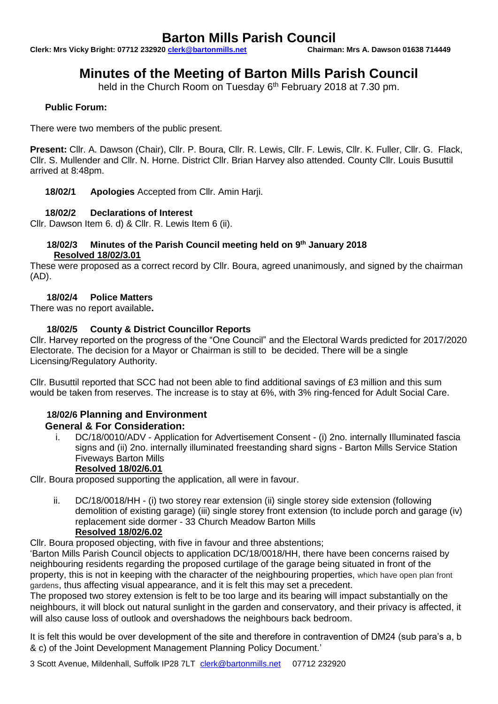# **Barton Mills Parish Council**<br><u>0 clerk@bartonmills.net</u> Chairman: Mrs A. Dawson 01638 714449

**Clerk: Mrs Vicky Bright: 07712 232920 clerk@bartonmills.net** 

# **Minutes of the Meeting of Barton Mills Parish Council**

held in the Church Room on Tuesday 6<sup>th</sup> February 2018 at 7.30 pm.

# **Public Forum:**

There were two members of the public present.

**Present:** Cllr. A. Dawson (Chair), Cllr. P. Boura, Cllr. R. Lewis, Cllr. F. Lewis, Cllr. K. Fuller, Cllr. G. Flack, Cllr. S. Mullender and Cllr. N. Horne. District Cllr. Brian Harvey also attended. County Cllr. Louis Busuttil arrived at 8:48pm.

**18/02/1 Apologies** Accepted from Cllr. Amin Harji.

#### **18/02/2 Declarations of Interest**

Cllr. Dawson Item 6. d) & Cllr. R. Lewis Item 6 (ii).

#### **18/02/3 Minutes of the Parish Council meeting held on 9 th January 2018 Resolved 18/02/3.01**

These were proposed as a correct record by Cllr. Boura, agreed unanimously, and signed by the chairman (AD).

#### **18/02/4 Police Matters**

There was no report available**.**

## **18/02/5 County & District Councillor Reports**

Cllr. Harvey reported on the progress of the "One Council" and the Electoral Wards predicted for 2017/2020 Electorate. The decision for a Mayor or Chairman is still to be decided. There will be a single Licensing/Regulatory Authority.

Cllr. Busuttil reported that SCC had not been able to find additional savings of £3 million and this sum would be taken from reserves. The increase is to stay at 6%, with 3% ring-fenced for Adult Social Care.

# **18/02/6 Planning and Environment General & For Consideration:**

i. DC/18/0010/ADV - Application for Advertisement Consent - (i) 2no. internally Illuminated fascia signs and (ii) 2no. internally illuminated freestanding shard signs - Barton Mills Service Station Fiveways Barton Mills

#### **Resolved 18/02/6.01**

Cllr. Boura proposed supporting the application, all were in favour.

ii. DC/18/0018/HH - (i) two storey rear extension (ii) single storey side extension (following demolition of existing garage) (iii) single storey front extension (to include porch and garage (iv) replacement side dormer - 33 Church Meadow Barton Mills **Resolved 18/02/6.02**

Cllr. Boura proposed objecting, with five in favour and three abstentions;

'Barton Mills Parish Council objects to application DC/18/0018/HH, there have been concerns raised by neighbouring residents regarding the proposed curtilage of the garage being situated in front of the property, this is not in keeping with the character of the neighbouring properties, which have open plan front gardens, thus affecting visual appearance, and it is felt this may set a precedent.

The proposed two storey extension is felt to be too large and its bearing will impact substantially on the neighbours, it will block out natural sunlight in the garden and conservatory, and their privacy is affected, it will also cause loss of outlook and overshadows the neighbours back bedroom.

It is felt this would be over development of the site and therefore in contravention of DM24 (sub para's a, b & c) of the Joint Development Management Planning Policy Document.'

3 Scott Avenue, Mildenhall, Suffolk IP28 7LT [clerk@bartonmills.net](mailto:clerk@bartonmills.net) 07712 232920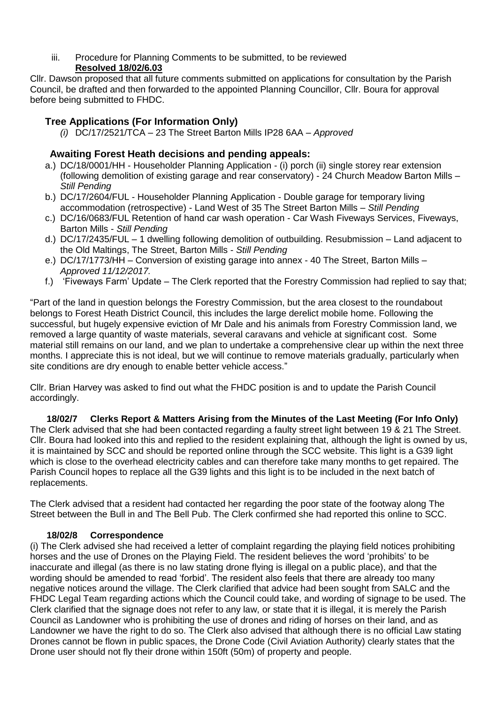iii. Procedure for Planning Comments to be submitted, to be reviewed **Resolved 18/02/6.03**

Cllr. Dawson proposed that all future comments submitted on applications for consultation by the Parish Council, be drafted and then forwarded to the appointed Planning Councillor, Cllr. Boura for approval before being submitted to FHDC.

# **Tree Applications (For Information Only)**

*(i)* DC/17/2521/TCA – 23 The Street Barton Mills IP28 6AA – *Approved*

# **Awaiting Forest Heath decisions and pending appeals:**

- a.) DC/18/0001/HH Householder Planning Application (i) porch (ii) single storey rear extension (following demolition of existing garage and rear conservatory) - 24 Church Meadow Barton Mills – *Still Pending*
- b.) DC/17/2604/FUL Householder Planning Application Double garage for temporary living accommodation (retrospective) - Land West of 35 The Street Barton Mills – *Still Pending*
- c.) DC/16/0683/FUL Retention of hand car wash operation Car Wash Fiveways Services, Fiveways, Barton Mills - *Still Pending*
- d.) DC/17/2435/FUL 1 dwelling following demolition of outbuilding. Resubmission Land adjacent to the Old Maltings, The Street, Barton Mills - *Still Pending*
- e.) DC/17/1773/HH Conversion of existing garage into annex 40 The Street, Barton Mills *Approved 11/12/2017.*
- f.) 'Fiveways Farm' Update The Clerk reported that the Forestry Commission had replied to say that;

"Part of the land in question belongs the Forestry Commission, but the area closest to the roundabout belongs to Forest Heath District Council, this includes the large derelict mobile home. Following the successful, but hugely expensive eviction of Mr Dale and his animals from Forestry Commission land, we removed a large quantity of waste materials, several caravans and vehicle at significant cost. Some material still remains on our land, and we plan to undertake a comprehensive clear up within the next three months. I appreciate this is not ideal, but we will continue to remove materials gradually, particularly when site conditions are dry enough to enable better vehicle access."

Cllr. Brian Harvey was asked to find out what the FHDC position is and to update the Parish Council accordingly.

**18/02/7 Clerks Report & Matters Arising from the Minutes of the Last Meeting (For Info Only)** The Clerk advised that she had been contacted regarding a faulty street light between 19 & 21 The Street. Cllr. Boura had looked into this and replied to the resident explaining that, although the light is owned by us, it is maintained by SCC and should be reported online through the SCC website. This light is a G39 light which is close to the overhead electricity cables and can therefore take many months to get repaired. The Parish Council hopes to replace all the G39 lights and this light is to be included in the next batch of replacements.

The Clerk advised that a resident had contacted her regarding the poor state of the footway along The Street between the Bull in and The Bell Pub. The Clerk confirmed she had reported this online to SCC.

#### **18/02/8 Correspondence**

(i) The Clerk advised she had received a letter of complaint regarding the playing field notices prohibiting horses and the use of Drones on the Playing Field. The resident believes the word 'prohibits' to be inaccurate and illegal (as there is no law stating drone flying is illegal on a public place), and that the wording should be amended to read 'forbid'. The resident also feels that there are already too many negative notices around the village. The Clerk clarified that advice had been sought from SALC and the FHDC Legal Team regarding actions which the Council could take, and wording of signage to be used. The Clerk clarified that the signage does not refer to any law, or state that it is illegal, it is merely the Parish Council as Landowner who is prohibiting the use of drones and riding of horses on their land, and as Landowner we have the right to do so. The Clerk also advised that although there is no official Law stating Drones cannot be flown in public spaces, the Drone Code (Civil Aviation Authority) clearly states that the Drone user should not fly their drone within 150ft (50m) of property and people.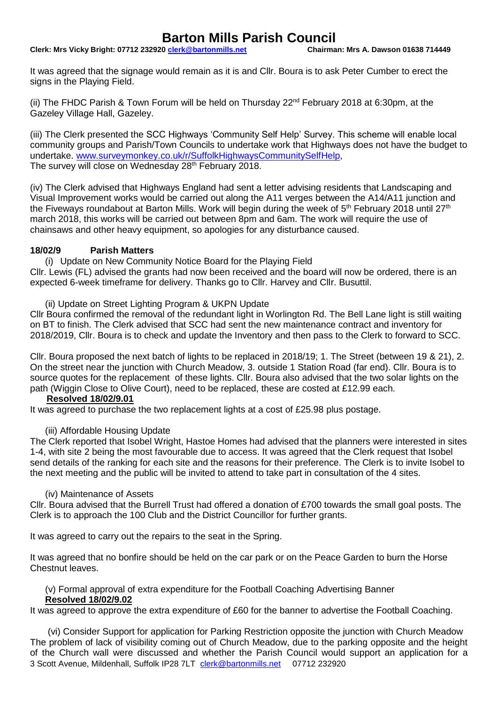# **Barton Mills Parish Council**<br>0 clerk@bartonmills.net Chairman: Mrs A. Dawson 01638 714449

**Clerk: Mrs Vicky Bright: 07712 232920 clerk@bartonmills.net** 

It was agreed that the signage would remain as it is and Cllr. Boura is to ask Peter Cumber to erect the signs in the Playing Field.

(ii) The FHDC Parish & Town Forum will be held on Thursday  $22^{nd}$  February 2018 at 6:30pm, at the Gazeley Village Hall, Gazeley.

(iii) The Clerk presented the SCC Highways 'Community Self Help' Survey. This scheme will enable local community groups and Parish/Town Councils to undertake work that Highways does not have the budget to undertake. [www.surveymonkey.co.uk/r/SuffolkHighwaysCommunitySelfHelp,](http://www.surveymonkey.co.uk/r/SuffolkHighwaysCommunitySelfHelp) The survey will close on Wednesday 28<sup>th</sup> February 2018.

(iv) The Clerk advised that Highways England had sent a letter advising residents that Landscaping and Visual Improvement works would be carried out along the A11 verges between the A14/A11 junction and the Fiveways roundabout at Barton Mills. Work will begin during the week of  $5<sup>th</sup>$  February 2018 until 27<sup>th</sup> march 2018, this works will be carried out between 8pm and 6am. The work will require the use of chainsaws and other heavy equipment, so apologies for any disturbance caused.

#### **18/02/9 Parish Matters**

(i) Update on New Community Notice Board for the Playing Field

Cllr. Lewis (FL) advised the grants had now been received and the board will now be ordered, there is an expected 6-week timeframe for delivery. Thanks go to Cllr. Harvey and Cllr. Busuttil.

(ii) Update on Street Lighting Program & UKPN Update

Cllr Boura confirmed the removal of the redundant light in Worlington Rd. The Bell Lane light is still waiting on BT to finish. The Clerk advised that SCC had sent the new maintenance contract and inventory for 2018/2019, Cllr. Boura is to check and update the Inventory and then pass to the Clerk to forward to SCC.

Cllr. Boura proposed the next batch of lights to be replaced in 2018/19; 1. The Street (between 19 & 21), 2. On the street near the junction with Church Meadow, 3. outside 1 Station Road (far end). Cllr. Boura is to source quotes for the replacement of these lights. Cllr. Boura also advised that the two solar lights on the path (Wiggin Close to Olive Court), need to be replaced, these are costed at £12.99 each.

## **Resolved 18/02/9.01**

It was agreed to purchase the two replacement lights at a cost of £25.98 plus postage.

## (iii) Affordable Housing Update

The Clerk reported that Isobel Wright, Hastoe Homes had advised that the planners were interested in sites 1-4, with site 2 being the most favourable due to access. It was agreed that the Clerk request that Isobel send details of the ranking for each site and the reasons for their preference. The Clerk is to invite Isobel to the next meeting and the public will be invited to attend to take part in consultation of the 4 sites.

#### (iv) Maintenance of Assets

Cllr. Boura advised that the Burrell Trust had offered a donation of £700 towards the small goal posts. The Clerk is to approach the 100 Club and the District Councillor for further grants.

It was agreed to carry out the repairs to the seat in the Spring.

It was agreed that no bonfire should be held on the car park or on the Peace Garden to burn the Horse Chestnut leaves.

(v) Formal approval of extra expenditure for the Football Coaching Advertising Banner

## **Resolved 18/02/9.02**

It was agreed to approve the extra expenditure of £60 for the banner to advertise the Football Coaching.

3 Scott Avenue, Mildenhall, Suffolk IP28 7LT [clerk@bartonmills.net](mailto:clerk@bartonmills.net) 07712 232920 (vi) Consider Support for application for Parking Restriction opposite the junction with Church Meadow The problem of lack of visibility coming out of Church Meadow, due to the parking opposite and the height of the Church wall were discussed and whether the Parish Council would support an application for a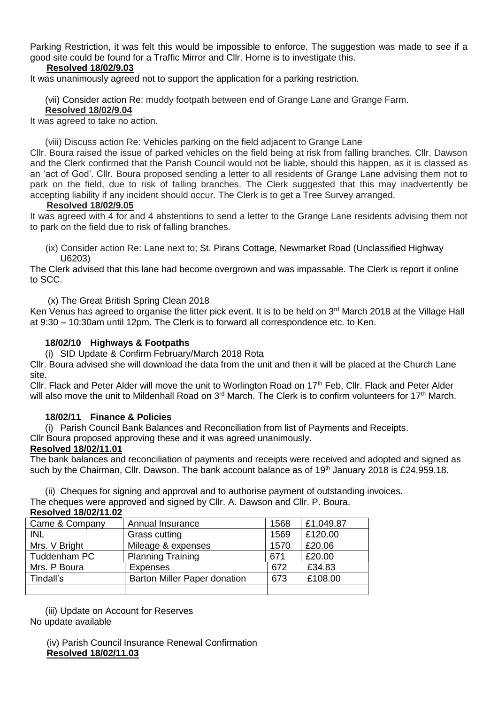Parking Restriction, it was felt this would be impossible to enforce. The suggestion was made to see if a good site could be found for a Traffic Mirror and Cllr. Horne is to investigate this.

## **Resolved 18/02/9.03**

It was unanimously agreed not to support the application for a parking restriction.

(vii) Consider action Re: muddy footpath between end of Grange Lane and Grange Farm.

#### **Resolved 18/02/9.04**

It was agreed to take no action.

(viii) Discuss action Re: Vehicles parking on the field adjacent to Grange Lane

Cllr. Boura raised the issue of parked vehicles on the field being at risk from falling branches. Cllr. Dawson and the Clerk confirmed that the Parish Council would not be liable, should this happen, as it is classed as an 'act of God'. Cllr. Boura proposed sending a letter to all residents of Grange Lane advising them not to park on the field, due to risk of falling branches. The Clerk suggested that this may inadvertently be accepting liability if any incident should occur. The Clerk is to get a Tree Survey arranged.

#### **Resolved 18/02/9.05**

It was agreed with 4 for and 4 abstentions to send a letter to the Grange Lane residents advising them not to park on the field due to risk of falling branches.

 (ix) Consider action Re: Lane next to; St. Pirans Cottage, Newmarket Road (Unclassified Highway U6203)

The Clerk advised that this lane had become overgrown and was impassable. The Clerk is report it online to SCC.

(x) The Great British Spring Clean 2018

Ken Venus has agreed to organise the litter pick event. It is to be held on 3<sup>rd</sup> March 2018 at the Village Hall at 9:30 – 10:30am until 12pm. The Clerk is to forward all correspondence etc. to Ken.

#### **18/02/10 Highways & Footpaths**

(i) SID Update & Confirm February/March 2018 Rota

Cllr. Boura advised she will download the data from the unit and then it will be placed at the Church Lane site.

Cllr. Flack and Peter Alder will move the unit to Worlington Road on 17<sup>th</sup> Feb, Cllr. Flack and Peter Alder will also move the unit to Mildenhall Road on  $3<sup>rd</sup>$  March. The Clerk is to confirm volunteers for 17<sup>th</sup> March.

#### **18/02/11 Finance & Policies**

(i) Parish Council Bank Balances and Reconciliation from list of Payments and Receipts.

Cllr Boura proposed approving these and it was agreed unanimously.

# **Resolved 18/02/11.01**

The bank balances and reconciliation of payments and receipts were received and adopted and signed as such by the Chairman, Cllr. Dawson. The bank account balance as of 19<sup>th</sup> January 2018 is £24,959.18.

(ii) Cheques for signing and approval and to authorise payment of outstanding invoices.

The cheques were approved and signed by Cllr. A. Dawson and Cllr. P. Boura.

#### **Resolved 18/02/11.02**

| Came & Company | Annual Insurance                    | 1568 | £1,049.87 |
|----------------|-------------------------------------|------|-----------|
| <b>INL</b>     | <b>Grass cutting</b>                | 1569 | £120.00   |
| Mrs. V Bright  | Mileage & expenses                  | 1570 | £20.06    |
| Tuddenham PC   | <b>Planning Training</b>            | 671  | £20.00    |
| Mrs. P Boura   | <b>Expenses</b>                     | 672  | £34.83    |
| Tindall's      | <b>Barton Miller Paper donation</b> | 673  | £108.00   |
|                |                                     |      |           |

(iii) Update on Account for Reserves No update available

> (iv) Parish Council Insurance Renewal Confirmation **Resolved 18/02/11.03**